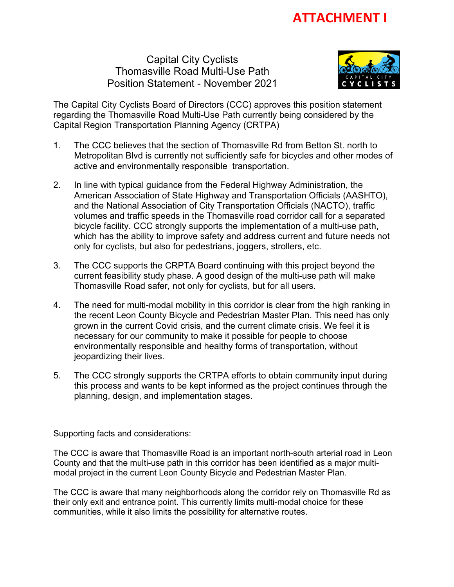Capital City Cyclists Thomasville Road Multi-Use Path Position Statement - November 2021



The Capital City Cyclists Board of Directors (CCC) approves this position statement regarding the Thomasville Road Multi-Use Path currently being considered by the Capital Region Transportation Planning Agency (CRTPA)

- 1. The CCC believes that the section of Thomasville Rd from Betton St. north to Metropolitan Blvd is currently not sufficiently safe for bicycles and other modes of active and environmentally responsible transportation.
- 2. In line with typical guidance from the Federal Highway Administration, the American Association of State Highway and Transportation Officials (AASHTO), and the National Association of City Transportation Officials (NACTO), traffic volumes and traffic speeds in the Thomasville road corridor call for a separated bicycle facility. CCC strongly supports the implementation of a multi-use path, which has the ability to improve safety and address current and future needs not only for cyclists, but also for pedestrians, joggers, strollers, etc.
- 3. The CCC supports the CRPTA Board continuing with this project beyond the current feasibility study phase. A good design of the multi-use path will make Thomasville Road safer, not only for cyclists, but for all users.
- 4. The need for multi-modal mobility in this corridor is clear from the high ranking in the recent Leon County Bicycle and Pedestrian Master Plan. This need has only grown in the current Covid crisis, and the current climate crisis. We feel it is necessary for our community to make it possible for people to choose environmentally responsible and healthy forms of transportation, without jeopardizing their lives.
- 5. The CCC strongly supports the CRTPA efforts to obtain community input during this process and wants to be kept informed as the project continues through the planning, design, and implementation stages.

Supporting facts and considerations:

The CCC is aware that Thomasville Road is an important north-south arterial road in Leon County and that the multi-use path in this corridor has been identified as a major multimodal project in the current Leon County Bicycle and Pedestrian Master Plan.

The CCC is aware that many neighborhoods along the corridor rely on Thomasville Rd as their only exit and entrance point. This currently limits multi-modal choice for these communities, while it also limits the possibility for alternative routes.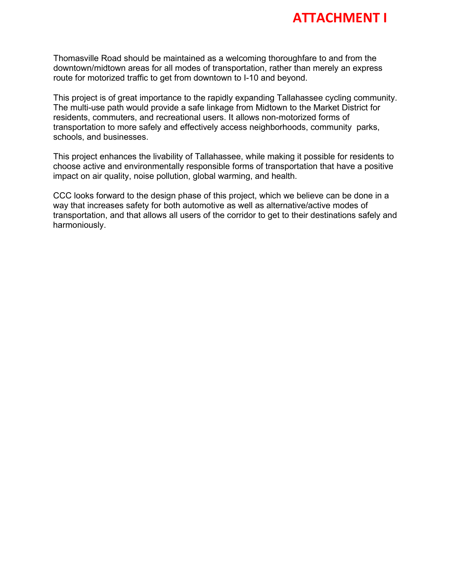

Thomasville Road should be maintained as a welcoming thoroughfare to and from the downtown/midtown areas for all modes of transportation, rather than merely an express route for motorized traffic to get from downtown to I-10 and beyond.

This project is of great importance to the rapidly expanding Tallahassee cycling community. The multi-use path would provide a safe linkage from Midtown to the Market District for residents, commuters, and recreational users. It allows non-motorized forms of transportation to more safely and effectively access neighborhoods, community parks, schools, and businesses.

This project enhances the livability of Tallahassee, while making it possible for residents to choose active and environmentally responsible forms of transportation that have a positive impact on air quality, noise pollution, global warming, and health.

CCC looks forward to the design phase of this project, which we believe can be done in a way that increases safety for both automotive as well as alternative/active modes of transportation, and that allows all users of the corridor to get to their destinations safely and harmoniously.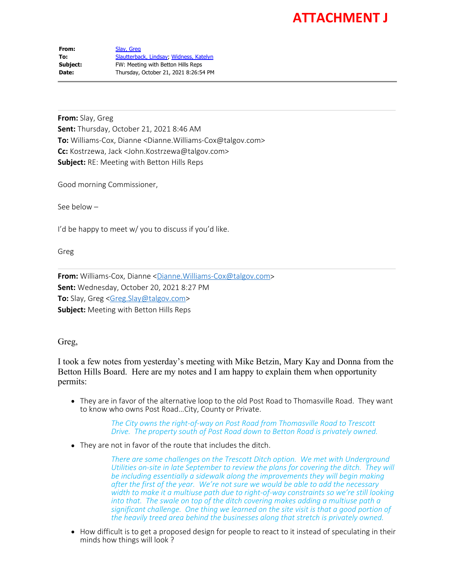From: [Slay, Greg](mailto:Greg.Slay@talgov.com) **To:** [Slautterback, Lindsay](mailto:Lindsay.Slautterback@kimley-horn.com); [Widness, Katelyn](mailto:Katelyn.Widness@kimley-horn.com) **Subject:** FW: Meeting with Betton Hills Reps **Date:** Thursday, October 21, 2021 8:26:54 PM

**From:** Slay, Greg **Sent:** Thursday, October 21, 2021 8:46 AM **To:** Williams-Cox, Dianne <Dianne.Williams-Cox@talgov.com> **Cc:** Kostrzewa, Jack <John.Kostrzewa@talgov.com> **Subject:** RE: Meeting with Betton Hills Reps

Good morning Commissioner,

See below –

I'd be happy to meet w/ you to discuss if you'd like.

Greg

**From:** Williams-Cox, Dianne <**[Dianne.Williams-Cox@talgov.com](mailto:Dianne.Williams-Cox@talgov.com)> Sent:** Wednesday, October 20, 2021 8:27 PM **To:** Slay, Greg [<Greg.Slay@talgov.com](mailto:Greg.Slay@talgov.com)> **Subject:** Meeting with Betton Hills Reps

Greg,

I took a few notes from yesterday's meeting with Mike Betzin, Mary Kay and Donna from the Betton Hills Board. Here are my notes and I am happy to explain them when opportunity permits:

They are in favor of the alternative loop to the old Post Road to Thomasville Road. They want to know who owns Post Road…City, County or Private.

> *The City owns the right-of-way on Post Road from Thomasville Road to Trescott Drive. The property south of Post Road down to Betton Road is privately owned.*

They are not in favor of the route that includes the ditch.

*There are some challenges on the Trescott Ditch option. We met with Underground Utilities on-site in late September to review the plans for covering the ditch. They will be including essentially a sidewalk along the improvements they will begin making after the first of the year. We're not sure we would be able to add the necessary width to make it a multiuse path due to right-of-way constraints so we're still looking into that. The swale on top of the ditch covering makes adding a multiuse path a significant challenge. One thing we learned on the site visit is that a good portion of the heavily treed area behind the businesses along that stretch is privately owned.*

• How difficult is to get a proposed design for people to react to it instead of speculating in their minds how things will look ?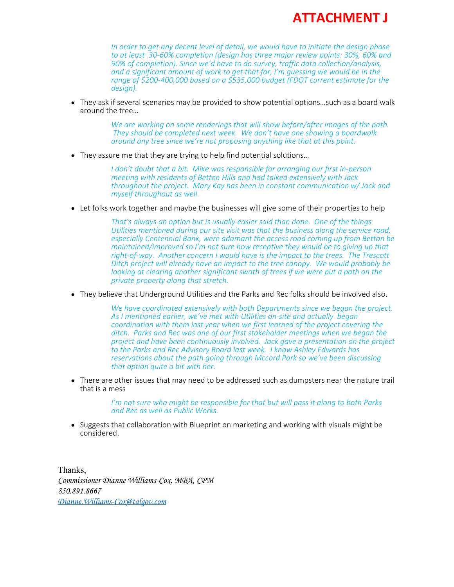*In order to get any decent level of detail, we would have to initiate the design phase to at least 30-60% completion (design has three major review points: 30%, 60% and 90% of completion). Since we'd have to do survey, traffic data collection/analysis, and a significant amount of work to get that far, I'm guessing we would be in the range of \$200-400,000 based on a \$535,000 budget (FDOT current estimate for the design).*

They ask if several scenarios may be provided to show potential options…such as a board walk around the tree…

> *We are working on some renderings that will show before/after images of the path. They should be completed next week. We don't have one showing a boardwalk around any tree since we're not proposing anything like that at this point.*

• They assure me that they are trying to help find potential solutions...

*I don't doubt that a bit. Mike was responsible for arranging our first in-person meeting with residents of Betton Hills and had talked extensively with Jack throughout the project. Mary Kay has been in constant communication w/ Jack and myself throughout as well.*

Let folks work together and maybe the businesses will give some of their properties to help

*That's always an option but is usually easier said than done. One of the things Utilities mentioned during our site visit was that the business along the service road, especially Centennial Bank, were adamant the access road coming up from Betton be maintained/improved so I'm not sure how receptive they would be to giving up that right-of-way. Another concern I would have is the impact to the trees. The Trescott Ditch project will already have an impact to the tree canopy. We would probably be looking at clearing another significant swath of trees if we were put a path on the private property along that stretch.*

They believe that Underground Utilities and the Parks and Rec folks should be involved also.

*We have coordinated extensively with both Departments since we began the project. As I mentioned earlier, we've met with Utilities on-site and actually began coordination with them last year when we first learned of the project covering the ditch. Parks and Rec was one of our first stakeholder meetings when we began the project and have been continuously involved. Jack gave a presentation on the project to the Parks and Rec Advisory Board last week. I know Ashley Edwards has reservations about the path going through Mccord Park so we've been discussing that option quite a bit with her.*

There are other issues that may need to be addressed such as dumpsters near the nature trail that is a mess

> *I'm not sure who might be responsible for that but will pass it along to both Parks and Rec as well as Public Works.*

Suggests that collaboration with Blueprint on marketing and working with visuals might be considered.

Thanks, *Commissioner Dianne Williams-Cox. MBA, CPM 850.891.8667 [Dianne.Williams-Cox@talgov.com](mailto:Dianne.Williams-Cox@talgov.com)*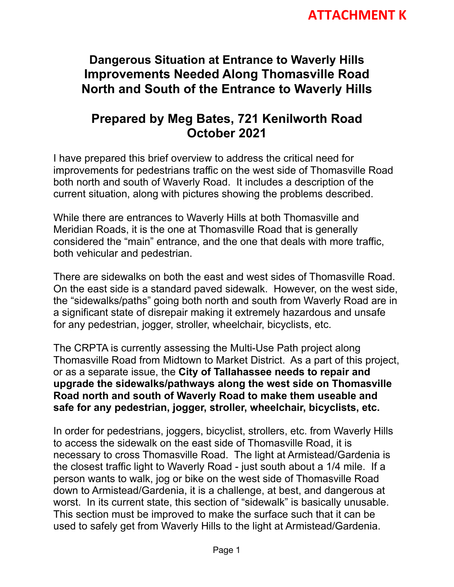#### **Dangerous Situation at Entrance to Waverly Hills Improvements Needed Along Thomasville Road North and South of the Entrance to Waverly Hills**

#### **Prepared by Meg Bates, 721 Kenilworth Road October 2021**

I have prepared this brief overview to address the critical need for improvements for pedestrians traffic on the west side of Thomasville Road both north and south of Waverly Road. It includes a description of the current situation, along with pictures showing the problems described.

While there are entrances to Waverly Hills at both Thomasville and Meridian Roads, it is the one at Thomasville Road that is generally considered the "main" entrance, and the one that deals with more traffic, both vehicular and pedestrian.

There are sidewalks on both the east and west sides of Thomasville Road. On the east side is a standard paved sidewalk. However, on the west side, the "sidewalks/paths" going both north and south from Waverly Road are in a significant state of disrepair making it extremely hazardous and unsafe for any pedestrian, jogger, stroller, wheelchair, bicyclists, etc.

The CRPTA is currently assessing the Multi-Use Path project along Thomasville Road from Midtown to Market District. As a part of this project, or as a separate issue, the **City of Tallahassee needs to repair and upgrade the sidewalks/pathways along the west side on Thomasville Road north and south of Waverly Road to make them useable and safe for any pedestrian, jogger, stroller, wheelchair, bicyclists, etc.** 

In order for pedestrians, joggers, bicyclist, strollers, etc. from Waverly Hills to access the sidewalk on the east side of Thomasville Road, it is necessary to cross Thomasville Road. The light at Armistead/Gardenia is the closest traffic light to Waverly Road - just south about a 1/4 mile. If a person wants to walk, jog or bike on the west side of Thomasville Road down to Armistead/Gardenia, it is a challenge, at best, and dangerous at worst. In its current state, this section of "sidewalk" is basically unusable. This section must be improved to make the surface such that it can be used to safely get from Waverly Hills to the light at Armistead/Gardenia.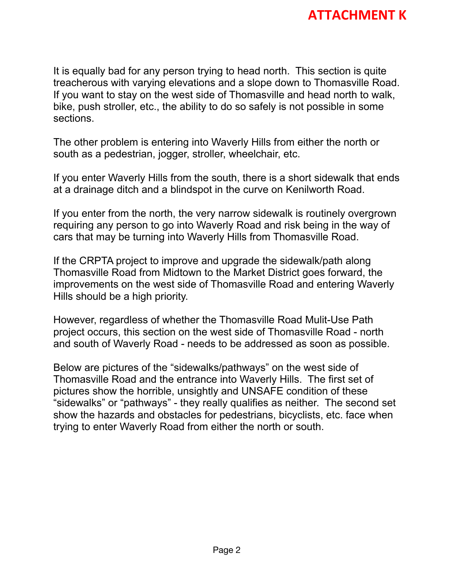It is equally bad for any person trying to head north. This section is quite treacherous with varying elevations and a slope down to Thomasville Road. If you want to stay on the west side of Thomasville and head north to walk, bike, push stroller, etc., the ability to do so safely is not possible in some sections.

The other problem is entering into Waverly Hills from either the north or south as a pedestrian, jogger, stroller, wheelchair, etc.

If you enter Waverly Hills from the south, there is a short sidewalk that ends at a drainage ditch and a blindspot in the curve on Kenilworth Road.

If you enter from the north, the very narrow sidewalk is routinely overgrown requiring any person to go into Waverly Road and risk being in the way of cars that may be turning into Waverly Hills from Thomasville Road.

If the CRPTA project to improve and upgrade the sidewalk/path along Thomasville Road from Midtown to the Market District goes forward, the improvements on the west side of Thomasville Road and entering Waverly Hills should be a high priority.

However, regardless of whether the Thomasville Road Mulit-Use Path project occurs, this section on the west side of Thomasville Road - north and south of Waverly Road - needs to be addressed as soon as possible.

Below are pictures of the "sidewalks/pathways" on the west side of Thomasville Road and the entrance into Waverly Hills. The first set of pictures show the horrible, unsightly and UNSAFE condition of these "sidewalks" or "pathways" - they really qualifies as neither. The second set show the hazards and obstacles for pedestrians, bicyclists, etc. face when trying to enter Waverly Road from either the north or south.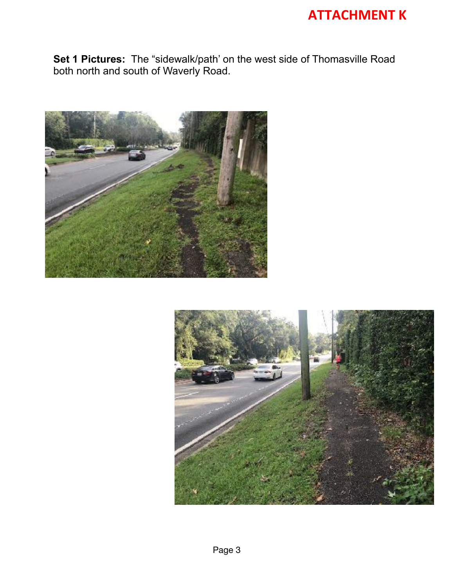**Set 1 Pictures:** The "sidewalk/path' on the west side of Thomasville Road both north and south of Waverly Road.



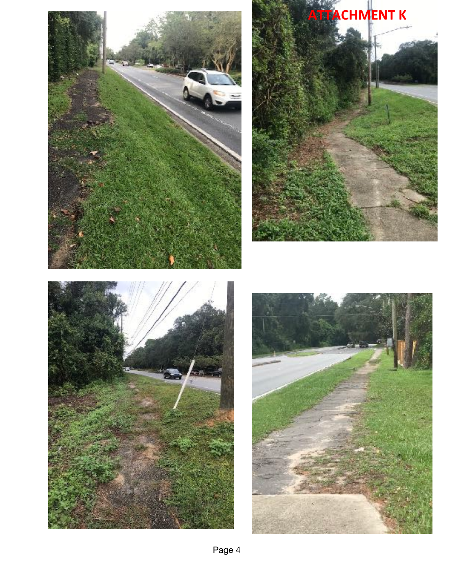





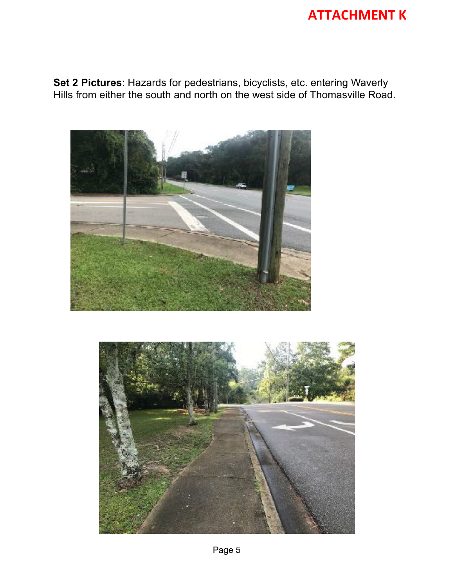**Set 2 Pictures**: Hazards for pedestrians, bicyclists, etc. entering Waverly Hills from either the south and north on the west side of Thomasville Road.



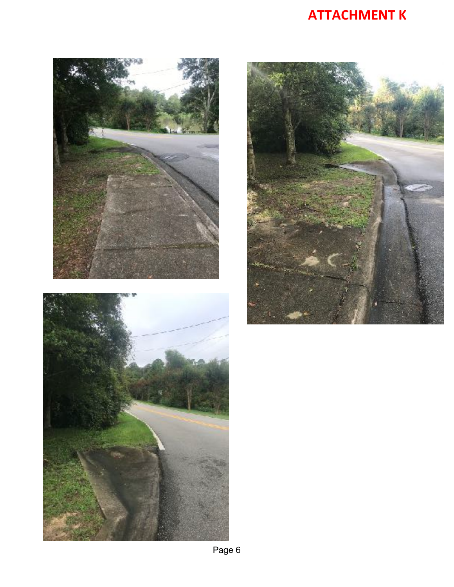